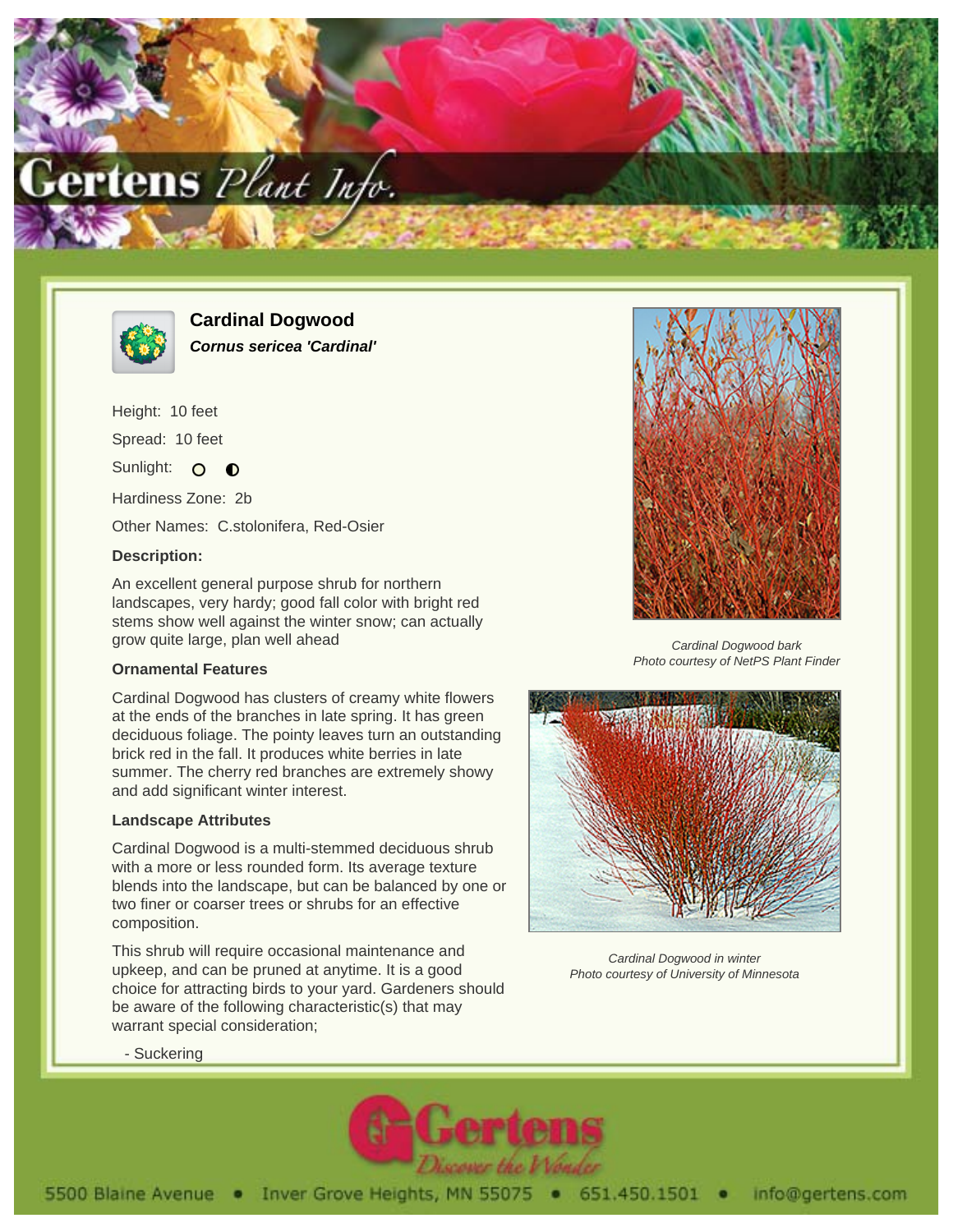



**Cardinal Dogwood Cornus sericea 'Cardinal'**

Height: 10 feet Spread: 10 feet Sunlight: O  $\bullet$ Hardiness Zone: 2b

Other Names: C.stolonifera, Red-Osier

## **Description:**

An excellent general purpose shrub for northern landscapes, very hardy; good fall color with bright red stems show well against the winter snow; can actually grow quite large, plan well ahead

## **Ornamental Features**

Cardinal Dogwood has clusters of creamy white flowers at the ends of the branches in late spring. It has green deciduous foliage. The pointy leaves turn an outstanding brick red in the fall. It produces white berries in late summer. The cherry red branches are extremely showy and add significant winter interest.

## **Landscape Attributes**

Cardinal Dogwood is a multi-stemmed deciduous shrub with a more or less rounded form. Its average texture blends into the landscape, but can be balanced by one or two finer or coarser trees or shrubs for an effective composition.

This shrub will require occasional maintenance and upkeep, and can be pruned at anytime. It is a good choice for attracting birds to your yard. Gardeners should be aware of the following characteristic(s) that may warrant special consideration;



Cardinal Dogwood bark Photo courtesy of NetPS Plant Finder



Cardinal Dogwood in winter Photo courtesy of University of Minnesota

- Suckering